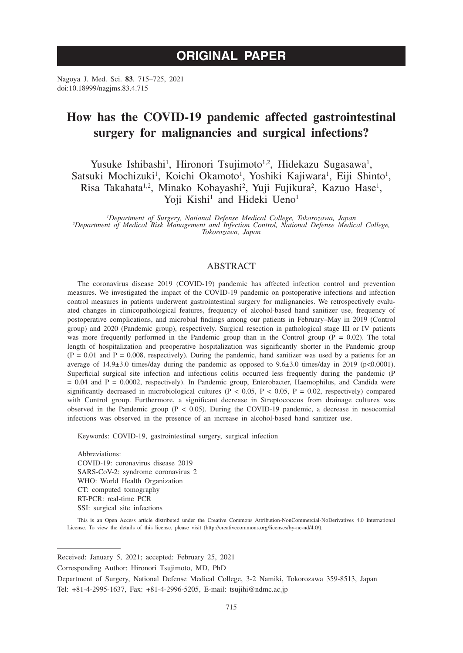# **ORIGINAL PAPER**

Nagoya J. Med. Sci. **83**. 715–725, 2021 doi:10.18999/nagjms.83.4.715

# **How has the COVID-19 pandemic affected gastrointestinal surgery for malignancies and surgical infections?**

Yusuke Ishibashi<sup>1</sup>, Hironori Tsujimoto<sup>1,2</sup>, Hidekazu Sugasawa<sup>1</sup>, Satsuki Mochizuki<sup>1</sup>, Koichi Okamoto<sup>1</sup>, Yoshiki Kajiwara<sup>1</sup>, Eiji Shinto<sup>1</sup>, Risa Takahata<sup>1,2</sup>, Minako Kobayashi<sup>2</sup>, Yuji Fujikura<sup>2</sup>, Kazuo Hase<sup>1</sup>, Yoji Kishi<sup>1</sup> and Hideki Ueno<sup>1</sup>

<sup>1</sup>Department of Surgery, National Defense Medical College, Tokorozawa, Japan *Department of Surgery, National Defense Medical College, Tokorozawa, Japan <sup>2</sup> Department of Medical Risk Management and Infection Control, National Defense Medical College, Tokorozawa, Japan*

# **ABSTRACT**

The coronavirus disease 2019 (COVID-19) pandemic has affected infection control and prevention measures. We investigated the impact of the COVID-19 pandemic on postoperative infections and infection control measures in patients underwent gastrointestinal surgery for malignancies. We retrospectively evaluated changes in clinicopathological features, frequency of alcohol-based hand sanitizer use, frequency of postoperative complications, and microbial findings among our patients in February–May in 2019 (Control group) and 2020 (Pandemic group), respectively. Surgical resection in pathological stage III or IV patients was more frequently performed in the Pandemic group than in the Control group ( $P = 0.02$ ). The total length of hospitalization and preoperative hospitalization was significantly shorter in the Pandemic group  $(P = 0.01$  and  $P = 0.008$ , respectively). During the pandemic, hand sanitizer was used by a patients for an average of 14.9±3.0 times/day during the pandemic as opposed to 9.6±3.0 times/day in 2019 (p<0.0001). Superficial surgical site infection and infectious colitis occurred less frequently during the pandemic (P = 0.04 and P = 0.0002, respectively). In Pandemic group, Enterobacter, Haemophilus, and Candida were significantly decreased in microbiological cultures ( $P < 0.05$ ,  $P < 0.05$ ,  $P = 0.02$ , respectively) compared with Control group. Furthermore, a significant decrease in Streptococcus from drainage cultures was observed in the Pandemic group  $(P < 0.05)$ . During the COVID-19 pandemic, a decrease in nosocomial infections was observed in the presence of an increase in alcohol-based hand sanitizer use.

Keywords: COVID-19, gastrointestinal surgery, surgical infection

Abbreviations: COVID-19: coronavirus disease 2019 SARS-CoV-2: syndrome coronavirus 2 WHO: World Health Organization CT: computed tomography RT-PCR: real-time PCR SSI: surgical site infections

This is an Open Access article distributed under the Creative Commons Attribution-NonCommercial-NoDerivatives 4.0 International License. To view the details of this license, please visit (http://creativecommons.org/licenses/by-nc-nd/4.0/).

Received: January 5, 2021; accepted: February 25, 2021

Corresponding Author: Hironori Tsujimoto, MD, PhD

Department of Surgery, National Defense Medical College, 3-2 Namiki, Tokorozawa 359-8513, Japan Tel: +81-4-2995-1637, Fax: +81-4-2996-5205, E-mail: tsujihi@ndmc.ac.jp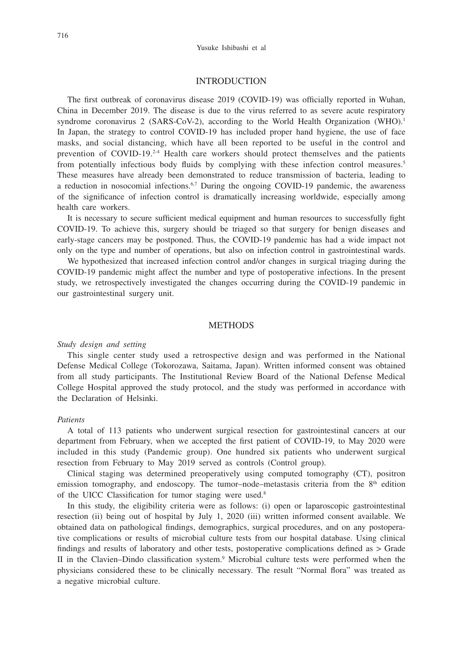## INTRODUCTION

The first outbreak of coronavirus disease 2019 (COVID-19) was officially reported in Wuhan, China in December 2019. The disease is due to the virus referred to as severe acute respiratory syndrome coronavirus 2 (SARS-CoV-2), according to the World Health Organization (WHO).<sup>1</sup> In Japan, the strategy to control COVID-19 has included proper hand hygiene, the use of face masks, and social distancing, which have all been reported to be useful in the control and prevention of  $COVID-19<sup>2-4</sup>$  Health care workers should protect themselves and the patients from potentially infectious body fluids by complying with these infection control measures.<sup>5</sup> These measures have already been demonstrated to reduce transmission of bacteria, leading to a reduction in nosocomial infections. $6,7$  During the ongoing COVID-19 pandemic, the awareness of the significance of infection control is dramatically increasing worldwide, especially among health care workers.

It is necessary to secure sufficient medical equipment and human resources to successfully fight COVID-19. To achieve this, surgery should be triaged so that surgery for benign diseases and early-stage cancers may be postponed. Thus, the COVID-19 pandemic has had a wide impact not only on the type and number of operations, but also on infection control in gastrointestinal wards.

We hypothesized that increased infection control and/or changes in surgical triaging during the COVID-19 pandemic might affect the number and type of postoperative infections. In the present study, we retrospectively investigated the changes occurring during the COVID-19 pandemic in our gastrointestinal surgery unit.

# **METHODS**

## *Study design and setting*

This single center study used a retrospective design and was performed in the National Defense Medical College (Tokorozawa, Saitama, Japan). Written informed consent was obtained from all study participants. The Institutional Review Board of the National Defense Medical College Hospital approved the study protocol, and the study was performed in accordance with the Declaration of Helsinki.

#### *Patients*

A total of 113 patients who underwent surgical resection for gastrointestinal cancers at our department from February, when we accepted the first patient of COVID-19, to May 2020 were included in this study (Pandemic group). One hundred six patients who underwent surgical resection from February to May 2019 served as controls (Control group).

Clinical staging was determined preoperatively using computed tomography (CT), positron emission tomography, and endoscopy. The tumor–node–metastasis criteria from the  $8<sup>th</sup>$  edition of the UICC Classification for tumor staging were used.<sup>8</sup>

In this study, the eligibility criteria were as follows: (i) open or laparoscopic gastrointestinal resection (ii) being out of hospital by July 1, 2020 (iii) written informed consent available. We obtained data on pathological findings, demographics, surgical procedures, and on any postoperative complications or results of microbial culture tests from our hospital database. Using clinical findings and results of laboratory and other tests, postoperative complications defined as > Grade II in the Clavien–Dindo classification system.<sup>9</sup> Microbial culture tests were performed when the physicians considered these to be clinically necessary. The result "Normal flora" was treated as a negative microbial culture.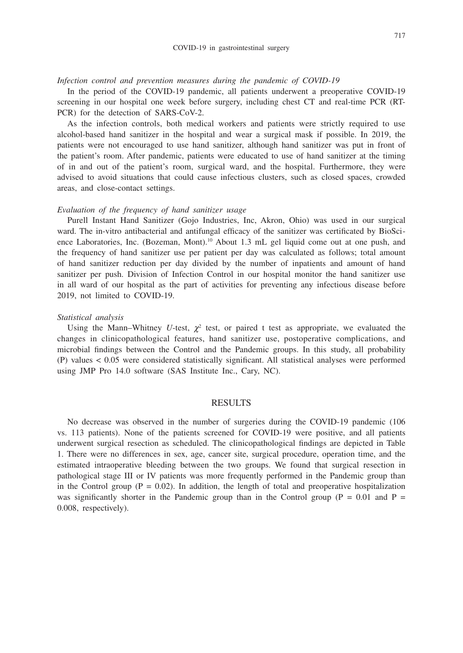#### *Infection control and prevention measures during the pandemic of COVID-19*

In the period of the COVID-19 pandemic, all patients underwent a preoperative COVID-19 screening in our hospital one week before surgery, including chest CT and real-time PCR (RT-PCR) for the detection of SARS-CoV-2.

As the infection controls, both medical workers and patients were strictly required to use alcohol-based hand sanitizer in the hospital and wear a surgical mask if possible. In 2019, the patients were not encouraged to use hand sanitizer, although hand sanitizer was put in front of the patient's room. After pandemic, patients were educated to use of hand sanitizer at the timing of in and out of the patient's room, surgical ward, and the hospital. Furthermore, they were advised to avoid situations that could cause infectious clusters, such as closed spaces, crowded areas, and close-contact settings.

## *Evaluation of the frequency of hand sanitizer usage*

Purell Instant Hand Sanitizer (Gojo Industries, Inc, Akron, Ohio) was used in our surgical ward. The in-vitro antibacterial and antifungal efficacy of the sanitizer was certificated by BioScience Laboratories, Inc. (Bozeman, Mont).<sup>10</sup> About 1.3 mL gel liquid come out at one push, and the frequency of hand sanitizer use per patient per day was calculated as follows; total amount of hand sanitizer reduction per day divided by the number of inpatients and amount of hand sanitizer per push. Division of Infection Control in our hospital monitor the hand sanitizer use in all ward of our hospital as the part of activities for preventing any infectious disease before 2019, not limited to COVID-19.

#### *Statistical analysis*

Using the Mann–Whitney U-test,  $\chi^2$  test, or paired t test as appropriate, we evaluated the changes in clinicopathological features, hand sanitizer use, postoperative complications, and microbial findings between the Control and the Pandemic groups. In this study, all probability (P) values < 0.05 were considered statistically significant. All statistical analyses were performed using JMP Pro 14.0 software (SAS Institute Inc., Cary, NC).

#### RESULTS

No decrease was observed in the number of surgeries during the COVID-19 pandemic (106 vs. 113 patients). None of the patients screened for COVID-19 were positive, and all patients underwent surgical resection as scheduled. The clinicopathological findings are depicted in Table 1. There were no differences in sex, age, cancer site, surgical procedure, operation time, and the estimated intraoperative bleeding between the two groups. We found that surgical resection in pathological stage III or IV patients was more frequently performed in the Pandemic group than in the Control group ( $P = 0.02$ ). In addition, the length of total and preoperative hospitalization was significantly shorter in the Pandemic group than in the Control group ( $P = 0.01$  and  $P =$ 0.008, respectively).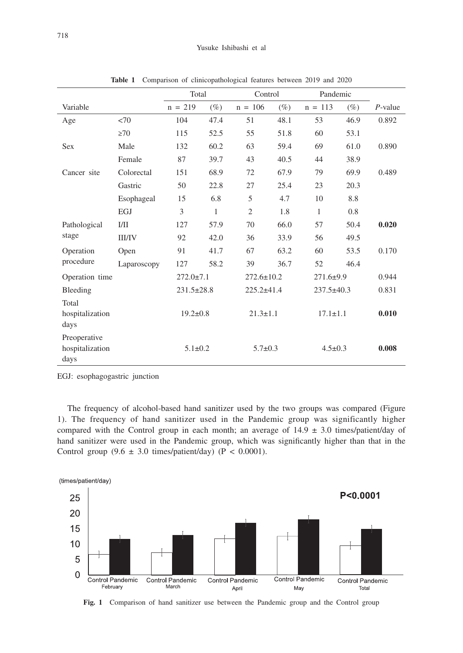|                                         |               | Total            |        | Control          |        | Pandemic         |        |            |
|-----------------------------------------|---------------|------------------|--------|------------------|--------|------------------|--------|------------|
| Variable                                |               | $n = 219$        | $(\%)$ | $n = 106$        | $(\%)$ | $n = 113$        | $(\%)$ | $P$ -value |
| Age                                     | <70           | 104              | 47.4   | 51               | 48.1   | 53               | 46.9   | 0.892      |
|                                         | $\geq 70$     | 115              | 52.5   | 55               | 51.8   | 60               | 53.1   |            |
| <b>Sex</b>                              | Male          | 132              | 60.2   | 63               | 59.4   | 69               | 61.0   | 0.890      |
|                                         | Female        | 87               | 39.7   | 43               | 40.5   | 44               | 38.9   |            |
| Cancer site                             | Colorectal    | 151              | 68.9   | 72               | 67.9   | 79               | 69.9   | 0.489      |
|                                         | Gastric       | 50               | 22.8   | 27               | 25.4   | 23               | 20.3   |            |
|                                         | Esophageal    | 15               | 6.8    | 5                | 4.7    | 10               | 8.8    |            |
|                                         | EGJ           | 3                | 1      | $\overline{2}$   | 1.8    | 1                | 0.8    |            |
| Pathological                            | I/II          | 127              | 57.9   | 70               | 66.0   | 57               | 50.4   | 0.020      |
| stage                                   | <b>III/IV</b> | 92               | 42.0   | 36               | 33.9   | 56               | 49.5   |            |
| Operation                               | Open          | 91               | 41.7   | 67               | 63.2   | 60               | 53.5   | 0.170      |
| procedure                               | Laparoscopy   | 127              | 58.2   | 39               | 36.7   | 52               | 46.4   |            |
| Operation time                          |               | $272.0 \pm 7.1$  |        | $272.6 \pm 10.2$ |        | $271.6 \pm 9.9$  |        | 0.944      |
| Bleeding                                |               | $231.5 \pm 28.8$ |        | $225.2 + 41.4$   |        | $237.5 \pm 40.3$ |        | 0.831      |
| Total<br>hospitalization<br>days        |               | $19.2 \pm 0.8$   |        | $21.3 \pm 1.1$   |        | $17.1 \pm 1.1$   |        | 0.010      |
| Preoperative<br>hospitalization<br>days |               | $5.1 \pm 0.2$    |        | $5.7 \pm 0.3$    |        | $4.5 \pm 0.3$    |        | 0.008      |

**Table 1** Comparison of clinicopathological features between 2019 and 2020

EGJ: esophagogastric junction

The frequency of alcohol-based hand sanitizer used by the two groups was compared (Figure 1). The frequency of hand sanitizer used in the Pandemic group was significantly higher compared with the Control group in each month; an average of  $14.9 \pm 3.0$  times/patient/day of hand sanitizer were used in the Pandemic group, which was significantly higher than that in the Control group  $(9.6 \pm 3.0 \text{ times/patient/day})$   $(P < 0.0001)$ .



**Fig. 1** Comparison of hand sanitizer use between the Pandemic group and the Control group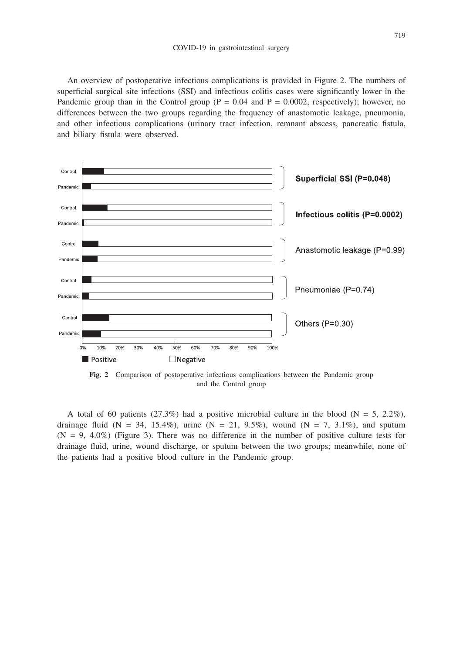An overview of postoperative infectious complications is provided in Figure 2. The numbers of superficial surgical site infections (SSI) and infectious colitis cases were significantly lower in the Pandemic group than in the Control group ( $P = 0.04$  and  $P = 0.0002$ , respectively); however, no differences between the two groups regarding the frequency of anastomotic leakage, pneumonia, and other infectious complications (urinary tract infection, remnant abscess, pancreatic fistula, and biliary fistula were observed.



and the Control group

A total of 60 patients (27.3%) had a positive microbial culture in the blood ( $N = 5$ , 2.2%), drainage fluid (N = 34, 15.4%), urine (N = 21, 9.5%), wound (N = 7, 3.1%), and sputum  $(N = 9, 4.0\%)$  (Figure 3). There was no difference in the number of positive culture tests for drainage fluid, urine, wound discharge, or sputum between the two groups; meanwhile, none of the patients had a positive blood culture in the Pandemic group.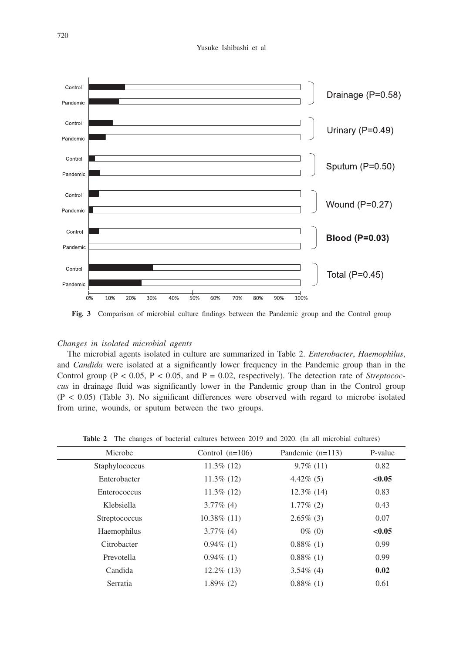#### Yusuke Ishibashi et al



**Fig. 3** Comparison of microbial culture findings between the Pandemic group and the Control group

## *Changes in isolated microbial agents*

The microbial agents isolated in culture are summarized in Table 2. *Enterobacter*, *Haemophilus*, and *Candida* were isolated at a significantly lower frequency in the Pandemic group than in the Control group ( $P < 0.05$ ,  $P < 0.05$ , and  $P = 0.02$ , respectively). The detection rate of *Streptococcus* in drainage fluid was significantly lower in the Pandemic group than in the Control group  $(P < 0.05)$  (Table 3). No significant differences were observed with regard to microbe isolated from urine, wounds, or sputum between the two groups.

| Microbe        | Control $(n=106)$ | Pandemic $(n=113)$ | P-value |
|----------------|-------------------|--------------------|---------|
| Staphylococcus | $11.3\%$ (12)     | $9.7\%$ (11)       | 0.82    |
| Enterobacter   | $11.3\%$ (12)     | $4.42\%$ (5)       | < 0.05  |
| Enterococcus   | $11.3\%$ (12)     | $12.3\%$ (14)      | 0.83    |
| Klebsiella     | $3.77\%$ (4)      | $1.77\%$ (2)       | 0.43    |
| Streptococcus  | $10.38\%$ (11)    | $2.65\%$ (3)       | 0.07    |
| Haemophilus    | $3.77\%$ (4)      | $0\%$ (0)          | < 0.05  |
| Citrobacter    | $0.94\%$ (1)      | $0.88\%$ (1)       | 0.99    |
| Prevotella     | $0.94\%$ (1)      | $0.88\%$ (1)       | 0.99    |
| Candida        | $12.2\%$ (13)     | $3.54\%$ (4)       | 0.02    |
| Serratia       | $1.89\%$ (2)      | $0.88\%$ (1)       | 0.61    |
|                |                   |                    |         |

**Table 2** The changes of bacterial cultures between 2019 and 2020. (In all microbial cultures)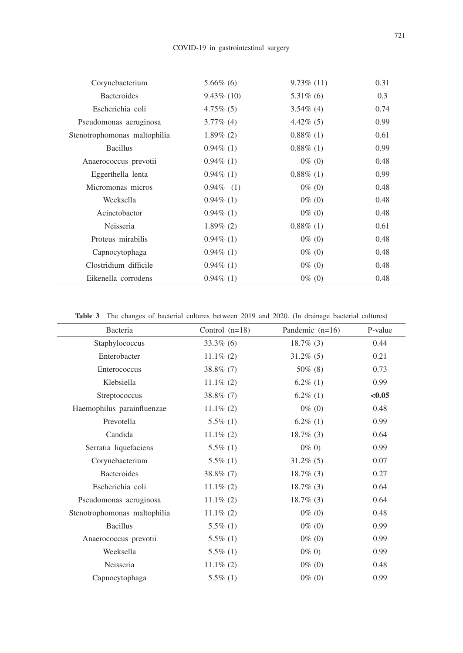| Corynebacterium              | $5.66\%$ (6)  | $9.73\%$ (11) | 0.31 |
|------------------------------|---------------|---------------|------|
| <b>Bacteroides</b>           | $9.43\%$ (10) | $5.31\%$ (6)  | 0.3  |
| Escherichia coli             | $4.75\%$ (5)  | $3.54\%$ (4)  | 0.74 |
| Pseudomonas aeruginosa       | $3.77\%$ (4)  | $4.42\%$ (5)  | 0.99 |
| Stenotrophomonas maltophilia | $1.89\%$ (2)  | $0.88\%$ (1)  | 0.61 |
| <b>Bacillus</b>              | $0.94\%$ (1)  | $0.88\%$ (1)  | 0.99 |
| Anaerococcus prevotii        | $0.94\%$ (1)  | $0\%$ (0)     | 0.48 |
| Eggerthella lenta            | $0.94\%$ (1)  | $0.88\%$ (1)  | 0.99 |
| Micromonas micros            | $0.94\%$ (1)  | $0\%$ (0)     | 0.48 |
| Weeksella                    | $0.94\%$ (1)  | $0\%$ (0)     | 0.48 |
| Acinetobactor                | $0.94\%$ (1)  | $0\%$ (0)     | 0.48 |
| Neisseria                    | $1.89\%$ (2)  | $0.88\%$ (1)  | 0.61 |
| Proteus mirabilis            | $0.94\%$ (1)  | $0\%$ (0)     | 0.48 |
| Capnocytophaga               | $0.94\%$ (1)  | $0\%$ (0)     | 0.48 |
| Clostridium difficile        | $0.94\%$ (1)  | $0\%$ (0)     | 0.48 |
| Eikenella corrodens          | $0.94\%$ (1)  | $0\%$ (0)     | 0.48 |

**Table 3** The changes of bacterial cultures between 2019 and 2020. (In drainage bacterial cultures)

| Bacteria                     | Control $(n=18)$ | Pandemic $(n=16)$ | P-value |
|------------------------------|------------------|-------------------|---------|
| Staphylococcus               | $33.3\%$ (6)     | $18.7\%$ (3)      | 0.44    |
| Enterobacter                 | $11.1\%$ (2)     | $31.2\%$ (5)      | 0.21    |
| Enterococcus                 | $38.8\%$ (7)     | $50\%$ (8)        | 0.73    |
| Klebsiella                   | $11.1\%$ (2)     | $6.2\%$ (1)       | 0.99    |
| Streptococcus                | $38.8\%$ (7)     | $6.2\%$ (1)       | < 0.05  |
| Haemophilus parainfluenzae   | $11.1\%$ (2)     | $0\%$ (0)         | 0.48    |
| Prevotella                   | $5.5\%$ (1)      | $6.2\%$ (1)       | 0.99    |
| Candida                      | $11.1\%$ (2)     | $18.7\%$ (3)      | 0.64    |
| Serratia liquefaciens        | $5.5\%$ (1)      | $0\%$ (0)         | 0.99    |
| Corynebacterium              | $5.5\%$ (1)      | $31.2\%$ (5)      | 0.07    |
| Bacteroides                  | $38.8\%$ (7)     | $18.7\%$ (3)      | 0.27    |
| Escherichia coli             | $11.1\%$ (2)     | $18.7\%$ (3)      | 0.64    |
| Pseudomonas aeruginosa       | $11.1\%$ (2)     | $18.7\%$ (3)      | 0.64    |
| Stenotrophomonas maltophilia | $11.1\%$ (2)     | $0\%$ (0)         | 0.48    |
| <b>Bacillus</b>              | $5.5\%$ (1)      | $0\%$ (0)         | 0.99    |
| Anaerococcus prevotii        | $5.5\%$ (1)      | $0\%$ (0)         | 0.99    |
| Weeksella                    | $5.5\%$ (1)      | $0\% 0$           | 0.99    |
| Neisseria                    | $11.1\%$ (2)     | $0\%$ (0)         | 0.48    |
| Capnocytophaga               | $5.5\%$ (1)      | $0\%$ (0)         | 0.99    |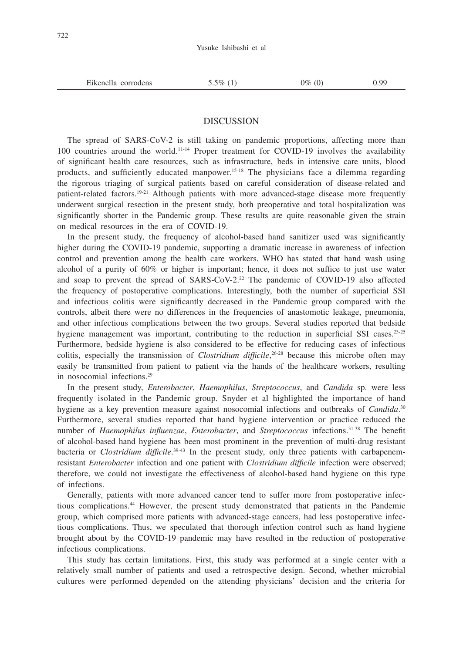| Eikenella<br>corrodens | 50% | )%<br>$\cdot$ | ، ص |
|------------------------|-----|---------------|-----|
|                        |     |               |     |

## **DISCUSSION**

The spread of SARS-CoV-2 is still taking on pandemic proportions, affecting more than 100 countries around the world.11-14 Proper treatment for COVID-19 involves the availability of significant health care resources, such as infrastructure, beds in intensive care units, blood products, and sufficiently educated manpower.15-18 The physicians face a dilemma regarding the rigorous triaging of surgical patients based on careful consideration of disease-related and patient-related factors.19-21 Although patients with more advanced-stage disease more frequently underwent surgical resection in the present study, both preoperative and total hospitalization was significantly shorter in the Pandemic group. These results are quite reasonable given the strain on medical resources in the era of COVID-19.

In the present study, the frequency of alcohol-based hand sanitizer used was significantly higher during the COVID-19 pandemic, supporting a dramatic increase in awareness of infection control and prevention among the health care workers. WHO has stated that hand wash using alcohol of a purity of 60% or higher is important; hence, it does not suffice to just use water and soap to prevent the spread of SARS-CoV-2.22 The pandemic of COVID-19 also affected the frequency of postoperative complications. Interestingly, both the number of superficial SSI and infectious colitis were significantly decreased in the Pandemic group compared with the controls, albeit there were no differences in the frequencies of anastomotic leakage, pneumonia, and other infectious complications between the two groups. Several studies reported that bedside hygiene management was important, contributing to the reduction in superficial SSI cases.<sup>23-25</sup> Furthermore, bedside hygiene is also considered to be effective for reducing cases of infectious colitis, especially the transmission of *Clostridium difficile*, 26-28 because this microbe often may easily be transmitted from patient to patient via the hands of the healthcare workers, resulting in nosocomial infections.29

In the present study, *Enterobacter*, *Haemophilus*, *Streptococcus*, and *Candida* sp. were less frequently isolated in the Pandemic group. Snyder et al highlighted the importance of hand hygiene as a key prevention measure against nosocomial infections and outbreaks of *Candida*. 30 Furthermore, several studies reported that hand hygiene intervention or practice reduced the number of *Haemophilus influenzae*, *Enterobacter*, and *Streptococcus* infections.31-38 The benefit of alcohol-based hand hygiene has been most prominent in the prevention of multi-drug resistant bacteria or *Clostridium difficile*. 39-43 In the present study, only three patients with carbapenemresistant *Enterobacter* infection and one patient with *Clostridium difficile* infection were observed; therefore, we could not investigate the effectiveness of alcohol-based hand hygiene on this type of infections.

Generally, patients with more advanced cancer tend to suffer more from postoperative infectious complications.44 However, the present study demonstrated that patients in the Pandemic group, which comprised more patients with advanced-stage cancers, had less postoperative infectious complications. Thus, we speculated that thorough infection control such as hand hygiene brought about by the COVID-19 pandemic may have resulted in the reduction of postoperative infectious complications.

This study has certain limitations. First, this study was performed at a single center with a relatively small number of patients and used a retrospective design. Second, whether microbial cultures were performed depended on the attending physicians' decision and the criteria for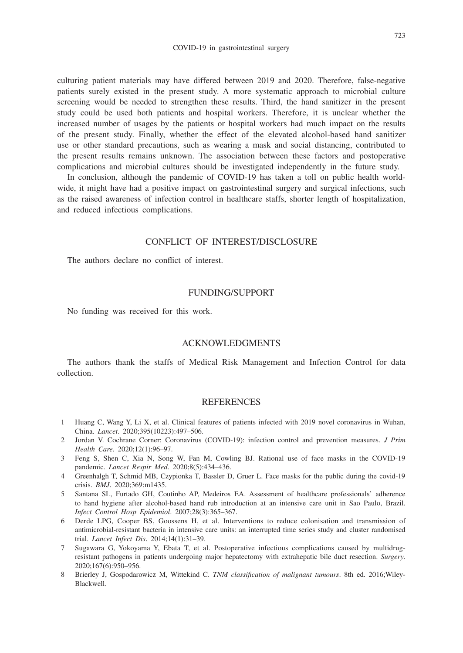culturing patient materials may have differed between 2019 and 2020. Therefore, false-negative patients surely existed in the present study. A more systematic approach to microbial culture screening would be needed to strengthen these results. Third, the hand sanitizer in the present study could be used both patients and hospital workers. Therefore, it is unclear whether the increased number of usages by the patients or hospital workers had much impact on the results of the present study. Finally, whether the effect of the elevated alcohol-based hand sanitizer use or other standard precautions, such as wearing a mask and social distancing, contributed to the present results remains unknown. The association between these factors and postoperative complications and microbial cultures should be investigated independently in the future study.

In conclusion, although the pandemic of COVID-19 has taken a toll on public health worldwide, it might have had a positive impact on gastrointestinal surgery and surgical infections, such as the raised awareness of infection control in healthcare staffs, shorter length of hospitalization, and reduced infectious complications.

# CONFLICT OF INTEREST/DISCLOSURE

The authors declare no conflict of interest.

## FUNDING/SUPPORT

No funding was received for this work.

#### ACKNOWLEDGMENTS

The authors thank the staffs of Medical Risk Management and Infection Control for data collection.

#### **REFERENCES**

- 1 Huang C, Wang Y, Li X, et al. Clinical features of patients infected with 2019 novel coronavirus in Wuhan, China. *Lancet*. 2020;395(10223):497–506.
- 2 Jordan V. Cochrane Corner: Coronavirus (COVID-19): infection control and prevention measures. *J Prim Health Care*. 2020;12(1):96–97.
- 3 Feng S, Shen C, Xia N, Song W, Fan M, Cowling BJ. Rational use of face masks in the COVID-19 pandemic. *Lancet Respir Med*. 2020;8(5):434–436.
- 4 Greenhalgh T, Schmid MB, Czypionka T, Bassler D, Gruer L. Face masks for the public during the covid-19 crisis. *BMJ*. 2020;369:m1435.
- 5 Santana SL, Furtado GH, Coutinho AP, Medeiros EA. Assessment of healthcare professionals' adherence to hand hygiene after alcohol-based hand rub introduction at an intensive care unit in Sao Paulo, Brazil. *Infect Control Hosp Epidemiol*. 2007;28(3):365–367.
- 6 Derde LPG, Cooper BS, Goossens H, et al. Interventions to reduce colonisation and transmission of antimicrobial-resistant bacteria in intensive care units: an interrupted time series study and cluster randomised trial. *Lancet Infect Dis*. 2014;14(1):31–39.
- 7 Sugawara G, Yokoyama Y, Ebata T, et al. Postoperative infectious complications caused by multidrugresistant pathogens in patients undergoing major hepatectomy with extrahepatic bile duct resection. *Surgery*. 2020;167(6):950–956.
- 8 Brierley J, Gospodarowicz M, Wittekind C. *TNM classification of malignant tumours*. 8th ed. 2016;Wiley-Blackwell.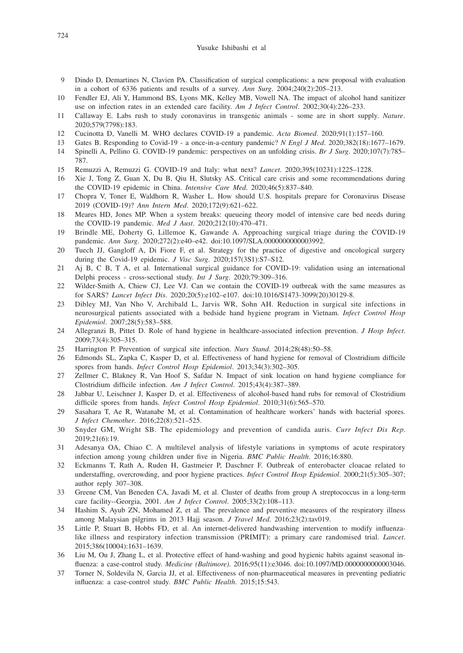#### Yusuke Ishibashi et al

- 9 Dindo D, Demartines N, Clavien PA. Classification of surgical complications: a new proposal with evaluation in a cohort of 6336 patients and results of a survey. *Ann Surg*. 2004;240(2):205–213.
- 10 Fendler EJ, Ali Y, Hammond BS, Lyons MK, Kelley MB, Vowell NA. The impact of alcohol hand sanitizer use on infection rates in an extended care facility. *Am J Infect Control*. 2002;30(4):226–233.
- 11 Callaway E. Labs rush to study coronavirus in transgenic animals some are in short supply. *Nature*. 2020;579(7798):183.
- 12 Cucinotta D, Vanelli M. WHO declares COVID-19 a pandemic. *Acta Biomed*. 2020;91(1):157–160.
- 13 Gates B. Responding to Covid-19 a once-in-a-century pandemic? *N Engl J Med*. 2020;382(18):1677–1679.
- 14 Spinelli A, Pellino G. COVID-19 pandemic: perspectives on an unfolding crisis. *Br J Surg*. 2020;107(7):785– 787.
- 15 Remuzzi A, Remuzzi G. COVID-19 and Italy: what next? *Lancet*. 2020;395(10231):1225–1228.
- 16 Xie J, Tong Z, Guan X, Du B, Qiu H, Slutsky AS. Critical care crisis and some recommendations during the COVID-19 epidemic in China. *Intensive Care Med*. 2020;46(5):837–840.
- 17 Chopra V, Toner E, Waldhorn R, Washer L. How should U.S. hospitals prepare for Coronavirus Disease 2019 (COVID-19)? *Ann Intern Med*. 2020;172(9):621–622.
- 18 Meares HD, Jones MP. When a system breaks: queueing theory model of intensive care bed needs during the COVID-19 pandemic. *Med J Aust*. 2020;212(10):470–471.
- 19 Brindle ME, Doherty G, Lillemoe K, Gawande A. Approaching surgical triage during the COVID-19 pandemic. *Ann Surg*. 2020;272(2):e40–e42. doi:10.1097/SLA.0000000000003992.
- 20 Tuech JJ, Gangloff A, Di Fiore F, et al. Strategy for the practice of digestive and oncological surgery during the Covid-19 epidemic. *J Visc Surg*. 2020;157(3S1):S7–S12.
- 21 Aj B, C B, T A, et al. International surgical guidance for COVID-19: validation using an international Delphi process - cross-sectional study. *Int J Surg*. 2020;79:309–316.
- 22 Wilder-Smith A, Chiew CJ, Lee VJ. Can we contain the COVID-19 outbreak with the same measures as for SARS? *Lancet Infect Dis*. 2020;20(5):e102–e107. doi:10.1016/S1473-3099(20)30129-8.
- 23 Dibley MJ, Van Nho V, Archibald L, Jarvis WR, Sohn AH. Reduction in surgical site infections in neurosurgical patients associated with a bedside hand hygiene program in Vietnam. *Infect Control Hosp Epidemiol*. 2007;28(5):583–588.
- 24 Allegranzi B, Pittet D. Role of hand hygiene in healthcare-associated infection prevention. *J Hosp Infect*. 2009;73(4):305–315.
- 25 Harrington P. Prevention of surgical site infection. *Nurs Stand*. 2014;28(48):50–58.
- 26 Edmonds SL, Zapka C, Kasper D, et al. Effectiveness of hand hygiene for removal of Clostridium difficile spores from hands. *Infect Control Hosp Epidemiol*. 2013;34(3):302–305.
- 27 Zellmer C, Blakney R, Van Hoof S, Safdar N. Impact of sink location on hand hygiene compliance for Clostridium difficile infection. *Am J Infect Control*. 2015;43(4):387–389.
- 28 Jabbar U, Leischner J, Kasper D, et al. Effectiveness of alcohol-based hand rubs for removal of Clostridium difficile spores from hands. *Infect Control Hosp Epidemiol*. 2010;31(6):565–570.
- 29 Sasahara T, Ae R, Watanabe M, et al. Contamination of healthcare workers' hands with bacterial spores. *J Infect Chemother*. 2016;22(8):521–525.
- 30 Snyder GM, Wright SB. The epidemiology and prevention of candida auris. *Curr Infect Dis Rep*. 2019;21(6):19.
- 31 Adesanya OA, Chiao C. A multilevel analysis of lifestyle variations in symptoms of acute respiratory infection among young children under five in Nigeria. *BMC Public Health*. 2016;16:880.
- 32 Eckmanns T, Rath A, Ruden H, Gastmeier P, Daschner F. Outbreak of enterobacter cloacae related to understaffing, overcrowding, and poor hygiene practices. *Infect Control Hosp Epidemiol*. 2000;21(5):305–307; author reply 307–308.
- 33 Greene CM, Van Beneden CA, Javadi M, et al. Cluster of deaths from group A streptococcus in a long-term care facility--Georgia, 2001. *Am J Infect Control*. 2005;33(2):108–113.
- 34 Hashim S, Ayub ZN, Mohamed Z, et al. The prevalence and preventive measures of the respiratory illness among Malaysian pilgrims in 2013 Hajj season. *J Travel Med*. 2016;23(2):tav019.
- 35 Little P, Stuart B, Hobbs FD, et al. An internet-delivered handwashing intervention to modify influenzalike illness and respiratory infection transmission (PRIMIT): a primary care randomised trial. *Lancet*. 2015;386(10004):1631–1639.
- 36 Liu M, Ou J, Zhang L, et al. Protective effect of hand-washing and good hygienic habits against seasonal influenza: a case-control study. *Medicine (Baltimore)*. 2016;95(11):e3046. doi:10.1097/MD.0000000000003046.
- 37 Torner N, Soldevila N, Garcia JJ, et al. Effectiveness of non-pharmaceutical measures in preventing pediatric influenza: a case-control study. *BMC Public Health*. 2015;15:543.